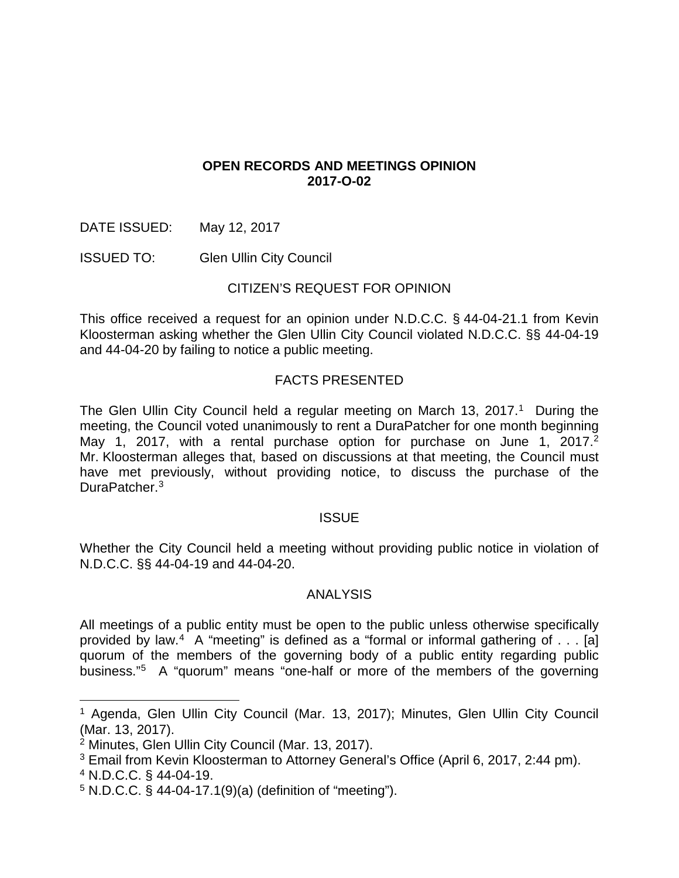# **OPEN RECORDS AND MEETINGS OPINION 2017-O-02**

- DATE ISSUED: May 12, 2017
- ISSUED TO: Glen Ullin City Council

### CITIZEN'S REQUEST FOR OPINION

This office received a request for an opinion under N.D.C.C. § 44-04-21.1 from Kevin Kloosterman asking whether the Glen Ullin City Council violated N.D.C.C. §§ 44-04-19 and 44-04-20 by failing to notice a public meeting.

### FACTS PRESENTED

The Glen Ullin City Council held a regular meeting on March [1](#page-0-0)3, 2017.<sup>1</sup> During the meeting, the Council voted unanimously to rent a DuraPatcher for one month beginning May 1, [2](#page-0-1)017, with a rental purchase option for purchase on June 1, 2017.<sup>2</sup> Mr. Kloosterman alleges that, based on discussions at that meeting, the Council must have met previously, without providing notice, to discuss the purchase of the DuraPatcher.<sup>[3](#page-0-2)</sup>

#### **ISSUE**

Whether the City Council held a meeting without providing public notice in violation of N.D.C.C. §§ 44-04-19 and 44-04-20.

#### ANALYSIS

All meetings of a public entity must be open to the public unless otherwise specifically provided by law.[4](#page-0-3) A "meeting" is defined as a "formal or informal gathering of . . . [a] quorum of the members of the governing body of a public entity regarding public business."[5](#page-0-4) A "quorum" means "one-half or more of the members of the governing

<span id="page-0-0"></span><sup>&</sup>lt;sup>1</sup> Agenda, Glen Ullin City Council (Mar. 13, 2017); Minutes, Glen Ullin City Council (Mar. 13, 2017).

<span id="page-0-1"></span><sup>&</sup>lt;sup>2</sup> Minutes, Glen Ullin City Council (Mar. 13, 2017).

<span id="page-0-2"></span><sup>3</sup> Email from Kevin Kloosterman to Attorney General's Office (April 6, 2017, 2:44 pm).

<span id="page-0-3"></span><sup>4</sup> N.D.C.C. § 44-04-19.

<span id="page-0-4"></span><sup>5</sup> N.D.C.C. § 44-04-17.1(9)(a) (definition of "meeting").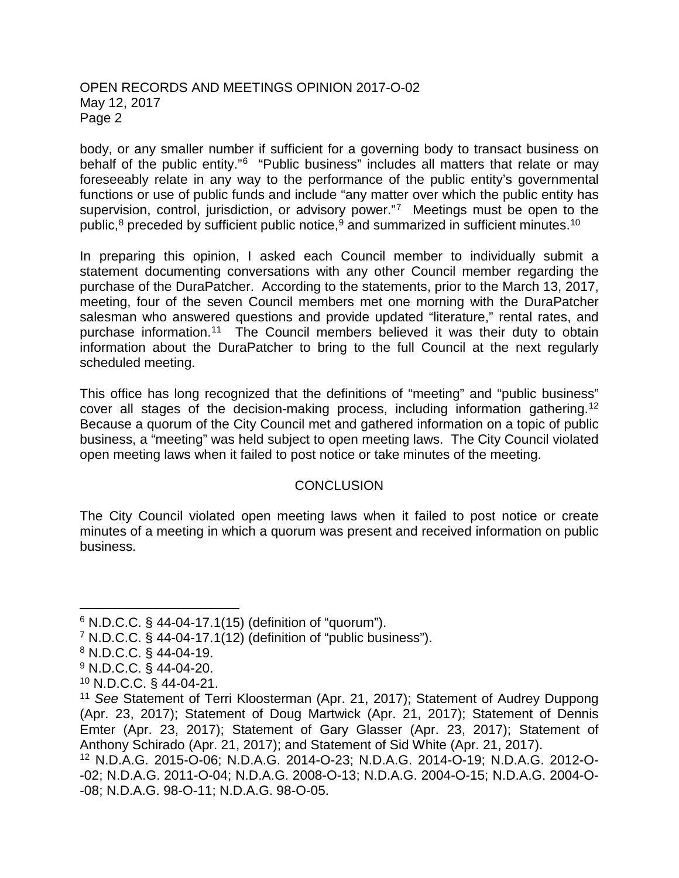### OPEN RECORDS AND MEETINGS OPINION 2017-O-02 May 12, 2017 Page 2

body, or any smaller number if sufficient for a governing body to transact business on behalf of the public entity."[6](#page-1-0) "Public business" includes all matters that relate or may foreseeably relate in any way to the performance of the public entity's governmental functions or use of public funds and include "any matter over which the public entity has supervision, control, jurisdiction, or advisory power."[7](#page-1-1) Meetings must be open to the public, $8$  preceded by sufficient public notice, $9$  and summarized in sufficient minutes.<sup>[10](#page-1-4)</sup>

In preparing this opinion, I asked each Council member to individually submit a statement documenting conversations with any other Council member regarding the purchase of the DuraPatcher. According to the statements, prior to the March 13, 2017, meeting, four of the seven Council members met one morning with the DuraPatcher salesman who answered questions and provide updated "literature," rental rates, and purchase information.<sup>11</sup> The Council members believed it was their duty to obtain information about the DuraPatcher to bring to the full Council at the next regularly scheduled meeting.

This office has long recognized that the definitions of "meeting" and "public business" cover all stages of the decision-making process, including information gathering. [12](#page-1-6) Because a quorum of the City Council met and gathered information on a topic of public business, a "meeting" was held subject to open meeting laws. The City Council violated open meeting laws when it failed to post notice or take minutes of the meeting.

# **CONCLUSION**

The City Council violated open meeting laws when it failed to post notice or create minutes of a meeting in which a quorum was present and received information on public business.

- <span id="page-1-2"></span><sup>8</sup> N.D.C.C. § 44-04-19.
- <span id="page-1-3"></span><sup>9</sup> N.D.C.C. § 44-04-20.
- <span id="page-1-4"></span><sup>10</sup> N.D.C.C. § 44-04-21.

<span id="page-1-0"></span> $6$  N.D.C.C. § 44-04-17.1(15) (definition of "quorum").

<span id="page-1-1"></span> $7$  N.D.C.C. § 44-04-17.1(12) (definition of "public business").

<span id="page-1-5"></span><sup>11</sup> *See* Statement of Terri Kloosterman (Apr. 21, 2017); Statement of Audrey Duppong (Apr. 23, 2017); Statement of Doug Martwick (Apr. 21, 2017); Statement of Dennis Emter (Apr. 23, 2017); Statement of Gary Glasser (Apr. 23, 2017); Statement of Anthony Schirado (Apr. 21, 2017); and Statement of Sid White (Apr. 21, 2017).

<span id="page-1-6"></span><sup>12</sup> N.D.A.G. 2015-O-06; N.D.A.G. 2014-O-23; N.D.A.G. 2014-O-19; N.D.A.G. 2012-O- -02; N.D.A.G. 2011-O-04; N.D.A.G. 2008-O-13; N.D.A.G. 2004-O-15; N.D.A.G. 2004-O- -08; N.D.A.G. 98-O-11; N.D.A.G. 98-O-05.